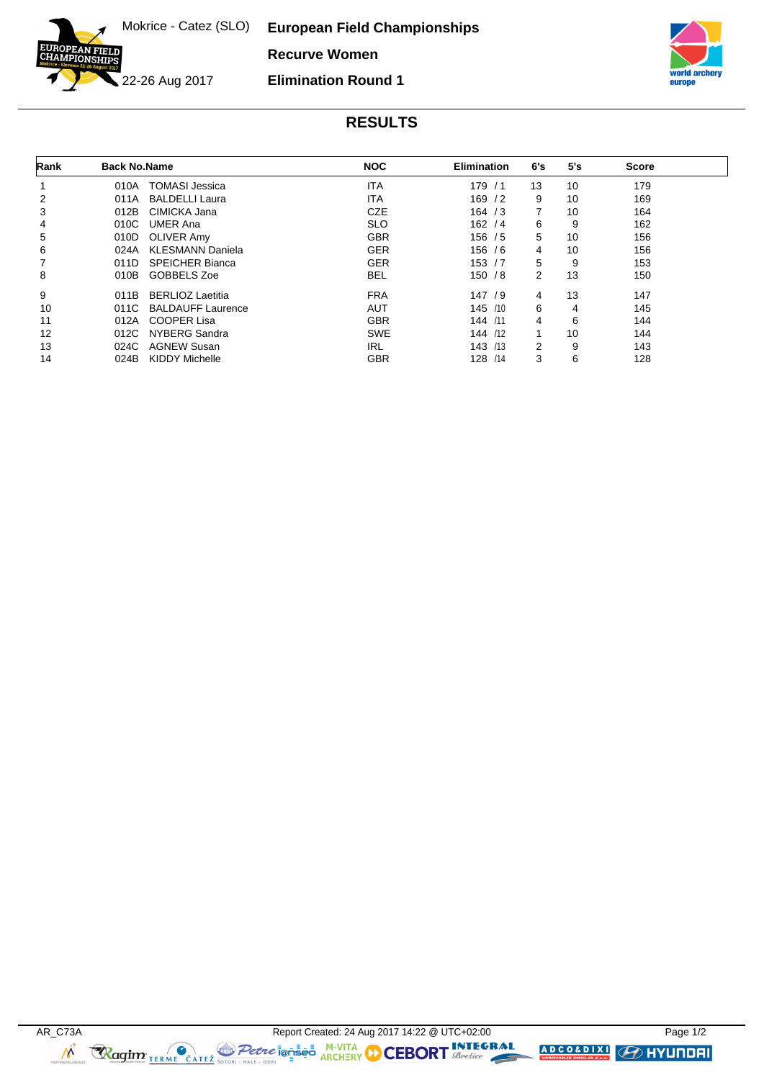22-26 Aug 2017

N FI

Mokrice - Catez (SLO) **European Field Championships Recurve Women**

**Elimination Round 1**

## **RESULTS**

| Rank | <b>Back No.Name</b> |                          | <b>NOC</b> | <b>Elimination</b> | 6's            | 5's | <b>Score</b> |
|------|---------------------|--------------------------|------------|--------------------|----------------|-----|--------------|
| 1    | 010A                | <b>TOMASI Jessica</b>    | <b>ITA</b> | 179/1              | 13             | 10  | 179          |
| 2    | 011A                | <b>BALDELLI Laura</b>    | <b>ITA</b> | 169/2              | 9              | 10  | 169          |
| 3    | 012B                | CIMICKA Jana             | <b>CZE</b> | 164 / 3            | $\overline{7}$ | 10  | 164          |
| 4    | 010C                | <b>UMER Ana</b>          | <b>SLO</b> | 162 / 4            | 6              | 9   | 162          |
| 5    | 010D                | OLIVER Amy               | <b>GBR</b> | 156 / 5            | 5              | 10  | 156          |
| 6    | 024A                | <b>KLESMANN Daniela</b>  | <b>GER</b> | 156/6              | 4              | 10  | 156          |
| 7    | 011D                | <b>SPEICHER Bianca</b>   | <b>GER</b> | 153/7              | 5              | 9   | 153          |
| 8    | 010B                | GOBBELS Zoe              | <b>BEL</b> | 150/8              | 2              | 13  | 150          |
| 9    | 011B                | <b>BERLIOZ Laetitia</b>  | <b>FRA</b> | 147/9              | 4              | 13  | 147          |
| 10   | 011C                | <b>BALDAUFF Laurence</b> | <b>AUT</b> | 145 /10            | 6              | 4   | 145          |
| 11   | 012A                | <b>COOPER Lisa</b>       | <b>GBR</b> | 144 /11            | 4              | 6   | 144          |
| 12   | 012C                | NYBERG Sandra            | <b>SWE</b> | 144 /12            | $\overline{ }$ | 10  | 144          |
| 13   | 024C                | AGNEW Susan              | <b>IRL</b> | 143 /13            | 2              | 9   | 143          |
| 14   | 024B                | <b>KIDDY Michelle</b>    | <b>GBR</b> | 128 /14            | 3              | 6   | 128          |